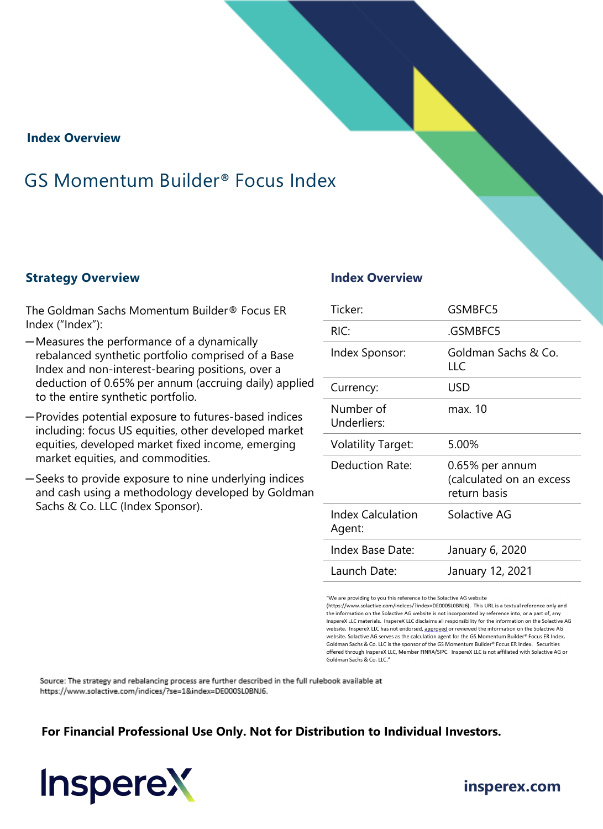**Index Overview**

## GS Momentum Builder® Focus Index

#### **Strategy Overview Index Overview**

The Goldman Sachs Momentum Builder® Focus ER Index ("Index"):

- ─Measures the performance of a dynamically rebalanced synthetic portfolio comprised of a Base Index and non-interest-bearing positions, over a deduction of 0.65% per annum (accruing daily) applied to the entire synthetic portfolio.
- ─Provides potential exposure to futures-based indices including: focus US equities, other developed market equities, developed market fixed income, emerging market equities, and commodities.
- ─Seeks to provide exposure to nine underlying indices and cash using a methodology developed by Goldman Sachs & Co. LLC (Index Sponsor).

| Ticker:                            | GSMBFC5                                                     |
|------------------------------------|-------------------------------------------------------------|
| RIC:                               | .GSMBFC5                                                    |
| Index Sponsor:                     | Goldman Sachs & Co.<br>LL C                                 |
| Currency:                          | USD                                                         |
| Number of<br>Underliers:           | max. 10                                                     |
| <b>Volatility Target:</b>          | 5.00%                                                       |
| Deduction Rate:                    | 0.65% per annum<br>(calculated on an excess<br>return basis |
| <b>Index Calculation</b><br>Agent: | Solactive AG                                                |
| Index Base Date:                   | January 6, 2020                                             |
| Launch Date:                       | January 12, 2021                                            |

"We are providing to you this reference to the Solactive AG website

(https://www.solactive.com/indices/?index=DE000SL0BNJ6). This URL is a textual reference only and the information on the Solactive AG website is not incorporated by reference into, or a part of, any InspereX LLC materials. InspereX LLC disclaims all responsibility for the information on the Solactive AG website. InspereX LLC has not endorsed, approved or reviewed the information on the Solactive AG website. Solactive AG serves as the calculation agent for the GS Momentum Builder® Focus ER Index. Goldman Sachs & Co. LLC is the sponsor of the GS Momentum Builder® Focus ER Index. Securities offered through InspereX LLC, Member FINRA/SIPC. InspereX LLC is not affiliated with Solactive AG or Goldman Sachs & Co. LLC."

Source: The strategy and rebalancing process are further described in the full rulebook available at https://www.solactive.com/indices/?se=1&index=DE000SL0BNJ6.

#### **For Financial Professional Use Only. Not for Distribution to Individual Investors.**



## **[insperex.com](http://www.insperex.com/)**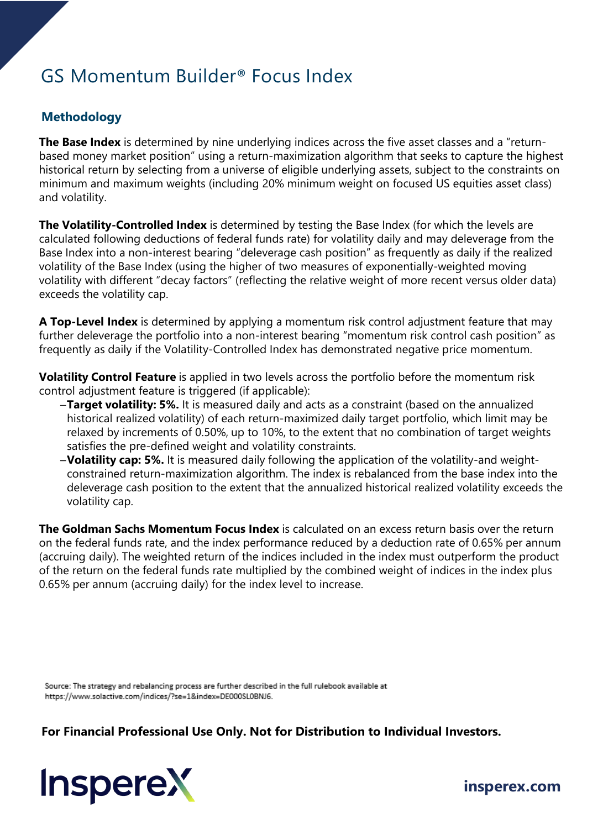## GS Momentum Builder® Focus Index

### **Methodology**

**The Base Index** is determined by nine underlying indices across the five asset classes and a "returnbased money market position" using a return-maximization algorithm that seeks to capture the highest historical return by selecting from a universe of eligible underlying assets, subject to the constraints on minimum and maximum weights (including 20% minimum weight on focused US equities asset class) and volatility.

**The Volatility-Controlled Index** is determined by testing the Base Index (for which the levels are calculated following deductions of federal funds rate) for volatility daily and may deleverage from the Base Index into a non-interest bearing "deleverage cash position" as frequently as daily if the realized volatility of the Base Index (using the higher of two measures of exponentially-weighted moving volatility with different "decay factors" (reflecting the relative weight of more recent versus older data) exceeds the volatility cap.

**A Top-Level Index** is determined by applying a momentum risk control adjustment feature that may further deleverage the portfolio into a non-interest bearing "momentum risk control cash position" as frequently as daily if the Volatility-Controlled Index has demonstrated negative price momentum.

**Volatility Control Feature** is applied in two levels across the portfolio before the momentum risk control adjustment feature is triggered (if applicable):

- ─**Target volatility: 5%.** It is measured daily and acts as a constraint (based on the annualized historical realized volatility) of each return-maximized daily target portfolio, which limit may be relaxed by increments of 0.50%, up to 10%, to the extent that no combination of target weights satisfies the pre-defined weight and volatility constraints.
- ─**Volatility cap: 5%.** It is measured daily following the application of the volatility-and weightconstrained return-maximization algorithm. The index is rebalanced from the base index into the deleverage cash position to the extent that the annualized historical realized volatility exceeds the volatility cap.

**The Goldman Sachs Momentum Focus Index** is calculated on an excess return basis over the return on the federal funds rate, and the index performance reduced by a deduction rate of 0.65% per annum (accruing daily). The weighted return of the indices included in the index must outperform the product of the return on the federal funds rate multiplied by the combined weight of indices in the index plus 0.65% per annum (accruing daily) for the index level to increase.

Source: The strategy and rebalancing process are further described in the full rulebook available at https://www.solactive.com/indices/?se=1&index=DE000SL0BNJ6.

**For Financial Professional Use Only. Not for Distribution to Individual Investors.** 



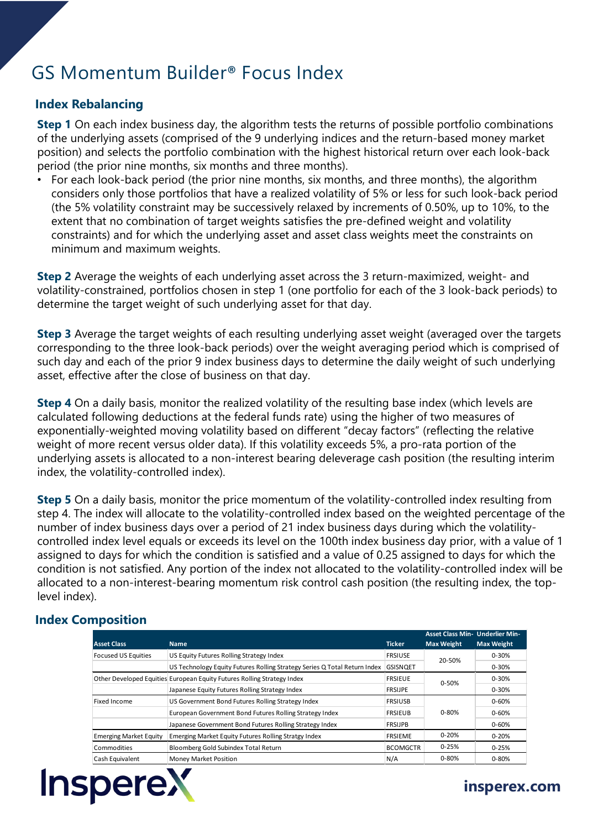# GS Momentum Builder® Focus Index

#### **Index Rebalancing**

**Step 1** On each index business day, the algorithm tests the returns of possible portfolio combinations of the underlying assets (comprised of the 9 underlying indices and the return-based money market position) and selects the portfolio combination with the highest historical return over each look-back period (the prior nine months, six months and three months).

• For each look-back period (the prior nine months, six months, and three months), the algorithm considers only those portfolios that have a realized volatility of 5% or less for such look-back period (the 5% volatility constraint may be successively relaxed by increments of 0.50%, up to 10%, to the extent that no combination of target weights satisfies the pre-defined weight and volatility constraints) and for which the underlying asset and asset class weights meet the constraints on minimum and maximum weights.

**Step 2** Average the weights of each underlying asset across the 3 return-maximized, weight- and volatility-constrained, portfolios chosen in step 1 (one portfolio for each of the 3 look-back periods) to determine the target weight of such underlying asset for that day.

**Step 3** Average the target weights of each resulting underlying asset weight (averaged over the targets corresponding to the three look-back periods) over the weight averaging period which is comprised of such day and each of the prior 9 index business days to determine the daily weight of such underlying asset, effective after the close of business on that day.

**Step 4** On a daily basis, monitor the realized volatility of the resulting base index (which levels are calculated following deductions at the federal funds rate) using the higher of two measures of exponentially-weighted moving volatility based on different "decay factors" (reflecting the relative weight of more recent versus older data). If this volatility exceeds 5%, a pro-rata portion of the underlying assets is allocated to a non-interest bearing deleverage cash position (the resulting interim index, the volatility-controlled index).

**Step 5** On a daily basis, monitor the price momentum of the volatility-controlled index resulting from step 4. The index will allocate to the volatility-controlled index based on the weighted percentage of the number of index business days over a period of 21 index business days during which the volatilitycontrolled index level equals or exceeds its level on the 100th index business day prior, with a value of 1 assigned to days for which the condition is satisfied and a value of 0.25 assigned to days for which the condition is not satisfied. Any portion of the index not allocated to the volatility-controlled index will be allocated to a non-interest-bearing momentum risk control cash position (the resulting index, the toplevel index).

#### **Index Composition**

| <b>Asset Class</b>                                                      | <b>Name</b>                                                               | <b>Ticker</b>   | <b>Asset Class Min- Underlier Min-</b><br><b>Max Weight</b> | <b>Max Weight</b> |
|-------------------------------------------------------------------------|---------------------------------------------------------------------------|-----------------|-------------------------------------------------------------|-------------------|
| <b>Focused US Equities</b>                                              | US Equity Futures Rolling Strategy Index                                  | <b>FRSIUSE</b>  |                                                             | $0 - 30%$         |
|                                                                         | US Technology Equity Futures Rolling Strategy Series Q Total Return Index | <b>GSISNQET</b> | 20-50%                                                      | $0 - 30%$         |
| Other Developed Equities European Equity Futures Rolling Strategy Index |                                                                           | <b>FRSIEUE</b>  | $0 - 50%$                                                   | $0 - 30%$         |
|                                                                         | Japanese Equity Futures Rolling Strategy Index                            | <b>FRSIJPE</b>  |                                                             | $0 - 30%$         |
| Fixed Income                                                            | US Government Bond Futures Rolling Strategy Index                         | <b>FRSIUSB</b>  |                                                             | $0 - 60%$         |
|                                                                         | European Government Bond Futures Rolling Strategy Index                   | <b>FRSIEUB</b>  | $0 - 80%$<br>$0 - 60%$                                      |                   |
|                                                                         | Japanese Government Bond Futures Rolling Strategy Index                   | <b>FRSIJPB</b>  |                                                             | 0-60%             |
| <b>Emerging Market Equity</b>                                           | Emerging Market Equity Futures Rolling Stratgy Index                      | <b>FRSIEME</b>  | $0 - 20%$                                                   | $0 - 20%$         |
| Commodities                                                             | Bloomberg Gold Subindex Total Return                                      | <b>BCOMGCTR</b> | $0 - 25%$                                                   | $0 - 25%$         |
| Cash Equivalent                                                         | <b>Money Market Position</b>                                              | N/A             | $0 - 80%$                                                   | $0 - 80%$         |